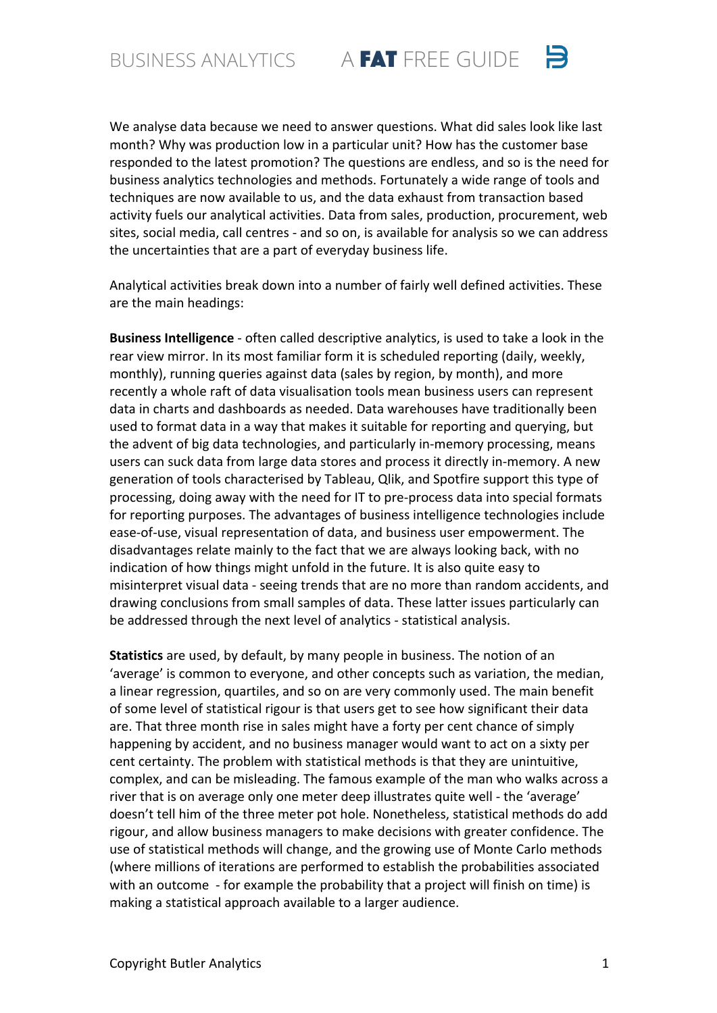We analyse data because we need to answer questions. What did sales look like last month? Why was production low in a particular unit? How has the customer base responded to the latest promotion? The questions are endless, and so is the need for business analytics technologies and methods. Fortunately a wide range of tools and techniques are now available to us, and the data exhaust from transaction based activity fuels our analytical activities. Data from sales, production, procurement, web sites, social media, call centres - and so on, is available for analysis so we can address the uncertainties that are a part of everyday business life.

 $\mathbf{B}$ 

Analytical activities break down into a number of fairly well defined activities. These are the main headings:

**Business Intelligence** - often called descriptive analytics, is used to take a look in the rear view mirror. In its most familiar form it is scheduled reporting (daily, weekly, monthly), running queries against data (sales by region, by month), and more recently a whole raft of data visualisation tools mean business users can represent data in charts and dashboards as needed. Data warehouses have traditionally been used to format data in a way that makes it suitable for reporting and querying, but the advent of big data technologies, and particularly in-memory processing, means users can suck data from large data stores and process it directly in-memory. A new generation of tools characterised by Tableau, Qlik, and Spotfire support this type of processing, doing away with the need for IT to pre-process data into special formats for reporting purposes. The advantages of business intelligence technologies include ease-of-use, visual representation of data, and business user empowerment. The disadvantages relate mainly to the fact that we are always looking back, with no indication of how things might unfold in the future. It is also quite easy to misinterpret visual data - seeing trends that are no more than random accidents, and drawing conclusions from small samples of data. These latter issues particularly can be addressed through the next level of analytics - statistical analysis.

**Statistics** are used, by default, by many people in business. The notion of an 'average' is common to everyone, and other concepts such as variation, the median, a linear regression, quartiles, and so on are very commonly used. The main benefit of some level of statistical rigour is that users get to see how significant their data are. That three month rise in sales might have a forty per cent chance of simply happening by accident, and no business manager would want to act on a sixty per cent certainty. The problem with statistical methods is that they are unintuitive, complex, and can be misleading. The famous example of the man who walks across a river that is on average only one meter deep illustrates quite well - the 'average' doesn't tell him of the three meter pot hole. Nonetheless, statistical methods do add rigour, and allow business managers to make decisions with greater confidence. The use of statistical methods will change, and the growing use of Monte Carlo methods (where millions of iterations are performed to establish the probabilities associated with an outcome - for example the probability that a project will finish on time) is making a statistical approach available to a larger audience.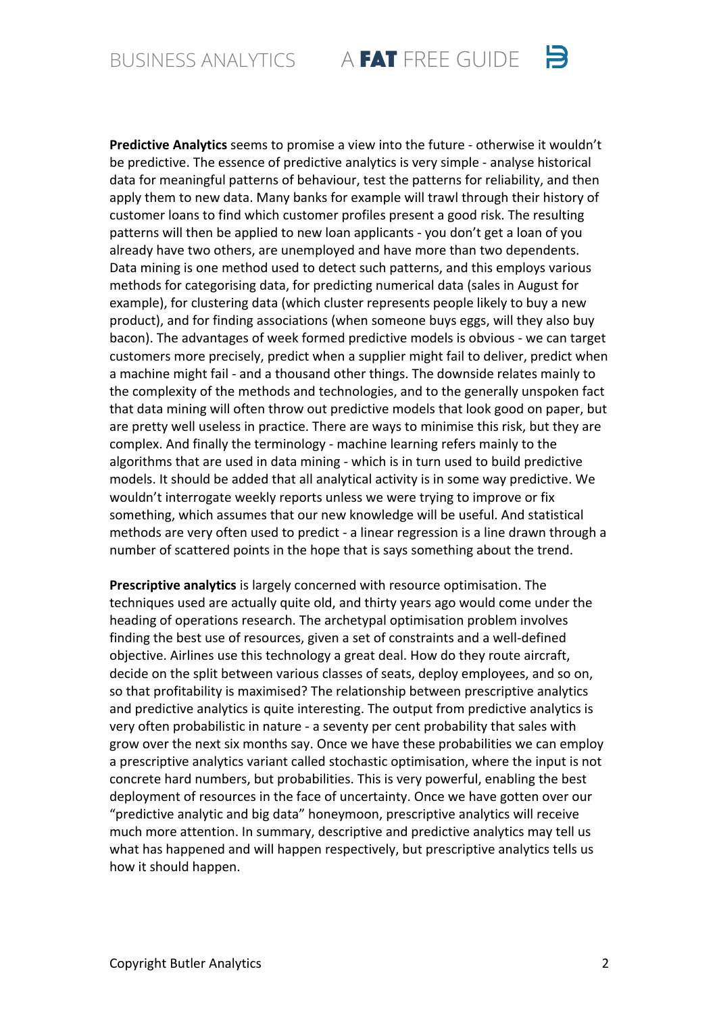$\mathbf{B}$ BUSINESS ANALYTICS A FAT FREE GUIDE

**Predictive Analytics** seems to promise a view into the future - otherwise it wouldn't be predictive. The essence of predictive analytics is very simple - analyse historical data for meaningful patterns of behaviour, test the patterns for reliability, and then apply them to new data. Many banks for example will trawl through their history of customer loans to find which customer profiles present a good risk. The resulting patterns will then be applied to new loan applicants - you don't get a loan of you already have two others, are unemployed and have more than two dependents. Data mining is one method used to detect such patterns, and this employs various methods for categorising data, for predicting numerical data (sales in August for example), for clustering data (which cluster represents people likely to buy a new product), and for finding associations (when someone buys eggs, will they also buy bacon). The advantages of week formed predictive models is obvious - we can target customers more precisely, predict when a supplier might fail to deliver, predict when a machine might fail - and a thousand other things. The downside relates mainly to the complexity of the methods and technologies, and to the generally unspoken fact that data mining will often throw out predictive models that look good on paper, but are pretty well useless in practice. There are ways to minimise this risk, but they are complex. And finally the terminology - machine learning refers mainly to the algorithms that are used in data mining - which is in turn used to build predictive models. It should be added that all analytical activity is in some way predictive. We wouldn't interrogate weekly reports unless we were trying to improve or fix something, which assumes that our new knowledge will be useful. And statistical methods are very often used to predict - a linear regression is a line drawn through a number of scattered points in the hope that is says something about the trend.

**Prescriptive analytics** is largely concerned with resource optimisation. The techniques used are actually quite old, and thirty years ago would come under the heading of operations research. The archetypal optimisation problem involves finding the best use of resources, given a set of constraints and a well-defined objective. Airlines use this technology a great deal. How do they route aircraft, decide on the split between various classes of seats, deploy employees, and so on, so that profitability is maximised? The relationship between prescriptive analytics and predictive analytics is quite interesting. The output from predictive analytics is very often probabilistic in nature - a seventy per cent probability that sales with grow over the next six months say. Once we have these probabilities we can employ a prescriptive analytics variant called stochastic optimisation, where the input is not concrete hard numbers, but probabilities. This is very powerful, enabling the best deployment of resources in the face of uncertainty. Once we have gotten over our "predictive analytic and big data" honeymoon, prescriptive analytics will receive much more attention. In summary, descriptive and predictive analytics may tell us what has happened and will happen respectively, but prescriptive analytics tells us how it should happen.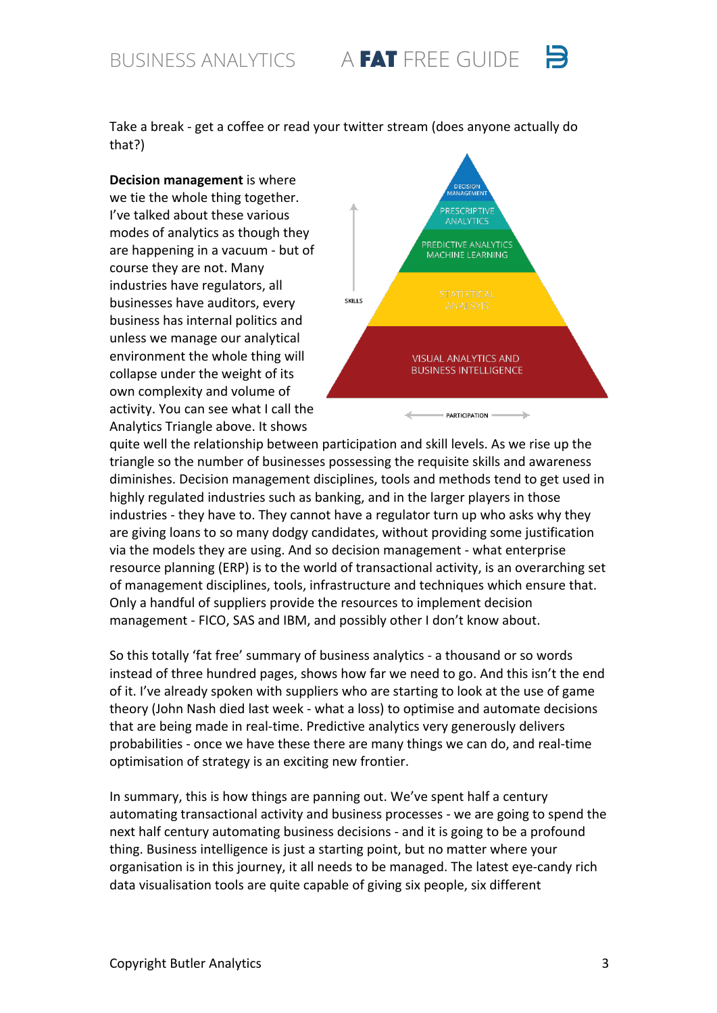BUSINESS ANALYTICS A FAT FREE GUIDE

Take a break - get a coffee or read your twitter stream (does anyone actually do that?) 

**Decision management** is where we tie the whole thing together. I've talked about these various modes of analytics as though they are happening in a vacuum - but of course they are not. Many industries have regulators, all businesses have auditors, every business has internal politics and unless we manage our analytical environment the whole thing will collapse under the weight of its own complexity and volume of activity. You can see what I call the Analytics Triangle above. It shows



quite well the relationship between participation and skill levels. As we rise up the triangle so the number of businesses possessing the requisite skills and awareness diminishes. Decision management disciplines, tools and methods tend to get used in highly regulated industries such as banking, and in the larger players in those industries - they have to. They cannot have a regulator turn up who asks why they are giving loans to so many dodgy candidates, without providing some justification via the models they are using. And so decision management - what enterprise resource planning (ERP) is to the world of transactional activity, is an overarching set of management disciplines, tools, infrastructure and techniques which ensure that. Only a handful of suppliers provide the resources to implement decision management - FICO, SAS and IBM, and possibly other I don't know about.

So this totally 'fat free' summary of business analytics - a thousand or so words instead of three hundred pages, shows how far we need to go. And this isn't the end of it. I've already spoken with suppliers who are starting to look at the use of game theory (John Nash died last week - what a loss) to optimise and automate decisions that are being made in real-time. Predictive analytics very generously delivers probabilities - once we have these there are many things we can do, and real-time optimisation of strategy is an exciting new frontier.

In summary, this is how things are panning out. We've spent half a century automating transactional activity and business processes - we are going to spend the next half century automating business decisions - and it is going to be a profound thing. Business intelligence is just a starting point, but no matter where your organisation is in this journey, it all needs to be managed. The latest eye-candy rich data visualisation tools are quite capable of giving six people, six different